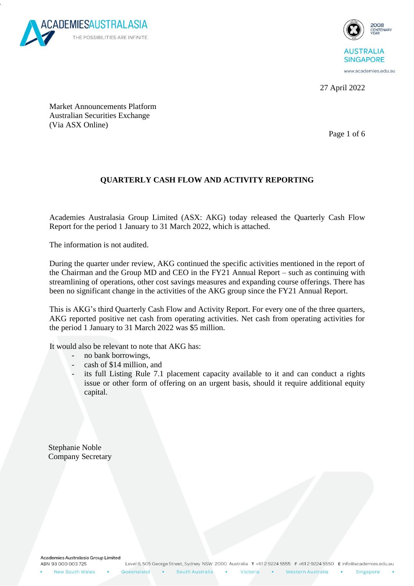

v



27 April 2022

Market Announcements Platform Australian Securities Exchange (Via ASX Online)

Page 1 of 6

## **QUARTERLY CASH FLOW AND ACTIVITY REPORTING**

Academies Australasia Group Limited (ASX: AKG) today released the Quarterly Cash Flow Report for the period 1 January to 31 March 2022, which is attached.

The information is not audited.

During the quarter under review, AKG continued the specific activities mentioned in the report of the Chairman and the Group MD and CEO in the FY21 Annual Report – such as continuing with streamlining of operations, other cost savings measures and expanding course offerings. There has been no significant change in the activities of the AKG group since the FY21 Annual Report.

This is AKG's third Quarterly Cash Flow and Activity Report. For every one of the three quarters, AKG reported positive net cash from operating activities. Net cash from operating activities for the period 1 January to 31 March 2022 was \$5 million.

It would also be relevant to note that AKG has:

- no bank borrowings,
- cash of \$14 million, and
- its full Listing Rule 7.1 placement capacity available to it and can conduct a rights issue or other form of offering on an urgent basis, should it require additional equity capital.

 Stephanie Noble Company Secretary

Academies Australasia Group Limited ABN 93 000 003 725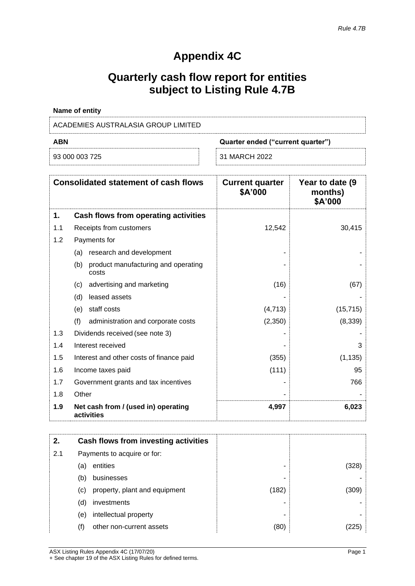# **Appendix 4C**

# **Quarterly cash flow report for entities subject to Listing Rule 4.7B**

| <b>Name of entity</b>               |                                   |
|-------------------------------------|-----------------------------------|
| ACADEMIES AUSTRALASIA GROUP LIMITED |                                   |
| ABN                                 | Quarter ended ("current quarter") |

| na nan nan <del>i</del> r |  |
|---------------------------|--|

| 93 000 003 725 |  | 31 MARCH 2022 |
|----------------|--|---------------|
|----------------|--|---------------|

|     | <b>Consolidated statement of cash flows</b>         | <b>Current quarter</b><br>\$A'000 | Year to date (9)<br>months)<br>\$A'000 |
|-----|-----------------------------------------------------|-----------------------------------|----------------------------------------|
| 1.  | Cash flows from operating activities                |                                   |                                        |
| 1.1 | Receipts from customers                             | 12,542                            | 30,415                                 |
| 1.2 | Payments for                                        |                                   |                                        |
|     | research and development<br>(a)                     |                                   |                                        |
|     | product manufacturing and operating<br>(b)<br>costs |                                   |                                        |
|     | advertising and marketing<br>(C)                    | (16)                              | (67)                                   |
|     | leased assets<br>(d)                                |                                   |                                        |
|     | staff costs<br>(e)                                  | (4,713)                           | (15, 715)                              |
|     | (f)<br>administration and corporate costs           | (2,350)                           | (8, 339)                               |
| 1.3 | Dividends received (see note 3)                     |                                   |                                        |
| 1.4 | Interest received                                   |                                   | 3                                      |
| 1.5 | Interest and other costs of finance paid            | (355)                             | (1, 135)                               |
| 1.6 | Income taxes paid                                   | (111)                             | 95                                     |
| 1.7 | Government grants and tax incentives                |                                   | 766                                    |
| 1.8 | Other                                               |                                   |                                        |
| 1.9 | Net cash from / (used in) operating<br>activities   | 4,997                             | 6,023                                  |

| 2.  |     | Cash flows from investing activities |       |       |
|-----|-----|--------------------------------------|-------|-------|
| 2.1 |     | Payments to acquire or for:          |       |       |
|     | (a) | entities                             | ۰     | (328) |
|     | (b) | businesses                           |       |       |
|     | (c) | property, plant and equipment        | (182) | (309) |
|     | (d) | investments                          |       |       |
|     | (e) | intellectual property                |       |       |
|     | (f) | other non-current assets             | (80)  | 225   |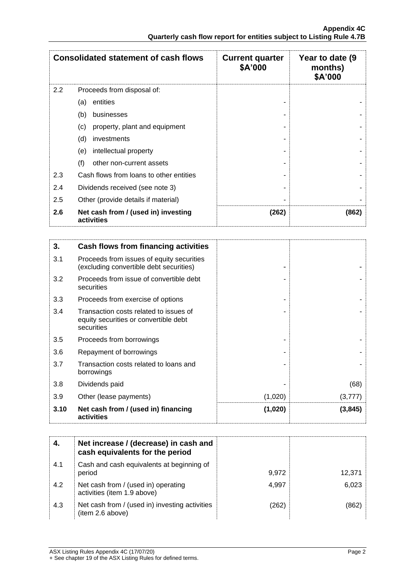|     | <b>Consolidated statement of cash flows</b>       | <b>Current quarter</b><br>\$A'000 | Year to date (9<br>months)<br>\$A'000 |
|-----|---------------------------------------------------|-----------------------------------|---------------------------------------|
| 2.2 | Proceeds from disposal of:                        |                                   |                                       |
|     | entities<br>(a)                                   |                                   |                                       |
|     | (b)<br>businesses                                 |                                   |                                       |
|     | property, plant and equipment<br>(c)              |                                   |                                       |
|     | (d)<br>investments                                |                                   |                                       |
|     | intellectual property<br>(e)                      |                                   |                                       |
|     | (f)<br>other non-current assets                   |                                   |                                       |
| 2.3 | Cash flows from loans to other entities           |                                   |                                       |
| 2.4 | Dividends received (see note 3)                   |                                   |                                       |
| 2.5 | Other (provide details if material)               |                                   |                                       |
| 2.6 | Net cash from / (used in) investing<br>activities | (262)                             | (862)                                 |

| 3.   | Cash flows from financing activities                                                          |         |          |
|------|-----------------------------------------------------------------------------------------------|---------|----------|
| 3.1  | Proceeds from issues of equity securities<br>(excluding convertible debt securities)          |         |          |
| 3.2  | Proceeds from issue of convertible debt<br>securities                                         |         |          |
| 3.3  | Proceeds from exercise of options                                                             |         |          |
| 3.4  | Transaction costs related to issues of<br>equity securities or convertible debt<br>securities |         |          |
| 3.5  | Proceeds from borrowings                                                                      |         |          |
| 3.6  | Repayment of borrowings                                                                       |         |          |
| 3.7  | Transaction costs related to loans and<br>borrowings                                          |         |          |
| 3.8  | Dividends paid                                                                                |         | (68)     |
| 3.9  | Other (lease payments)                                                                        | (1,020) | (3,777)  |
| 3.10 | Net cash from / (used in) financing<br>activities                                             | (1,020) | (3, 845) |

|     | Net increase / (decrease) in cash and<br>cash equivalents for the period |       |        |
|-----|--------------------------------------------------------------------------|-------|--------|
| 4.1 | Cash and cash equivalents at beginning of<br>period                      | 9,972 | 12,371 |
| 4.2 | Net cash from / (used in) operating<br>activities (item 1.9 above)       | 4.997 | 6,023  |
| 4.3 | Net cash from / (used in) investing activities<br>(item 2.6 above)       | (262) | (862   |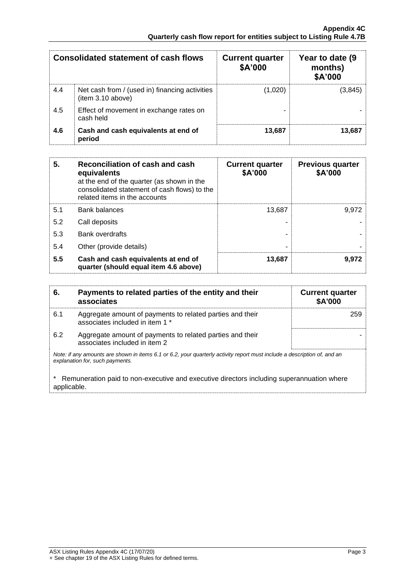| <b>Consolidated statement of cash flows</b> |                                                                    | <b>Current quarter</b><br>\$A'000 | Year to date (9)<br>months)<br>\$A'000 |
|---------------------------------------------|--------------------------------------------------------------------|-----------------------------------|----------------------------------------|
| 4.4                                         | Net cash from / (used in) financing activities<br>item 3.10 above) | (1,020)                           | (3.845)                                |
| 4.5                                         | Effect of movement in exchange rates on<br>cash held               |                                   |                                        |
| 4.6                                         | Cash and cash equivalents at end of<br>period                      | 13.687                            | 13,687                                 |

| 5.  | Reconciliation of cash and cash<br>equivalents<br>at the end of the quarter (as shown in the<br>consolidated statement of cash flows) to the<br>related items in the accounts | <b>Current quarter</b><br>\$A'000 | <b>Previous quarter</b><br>\$A'000 |
|-----|-------------------------------------------------------------------------------------------------------------------------------------------------------------------------------|-----------------------------------|------------------------------------|
| 5.1 | <b>Bank balances</b>                                                                                                                                                          | 13,687                            | 9.972                              |
| 5.2 | Call deposits                                                                                                                                                                 |                                   |                                    |
| 5.3 | <b>Bank overdrafts</b>                                                                                                                                                        |                                   |                                    |
| 5.4 | Other (provide details)                                                                                                                                                       |                                   |                                    |
| 5.5 | Cash and cash equivalents at end of<br>quarter (should equal item 4.6 above)                                                                                                  | 13,687                            | 9,972                              |

| 6.          | Payments to related parties of the entity and their<br>associates                                                                                           | <b>Current quarter</b><br><b>\$A'000</b> |
|-------------|-------------------------------------------------------------------------------------------------------------------------------------------------------------|------------------------------------------|
| 6.1         | Aggregate amount of payments to related parties and their<br>associates included in item 1 *                                                                | 259                                      |
| 6.2         | Aggregate amount of payments to related parties and their<br>associates included in item 2                                                                  |                                          |
|             | Note: if any amounts are shown in items 6.1 or 6.2, your quarterly activity report must include a description of, and an<br>explanation for, such payments. |                                          |
| applicable. | Remuneration paid to non-executive and executive directors including superannuation where                                                                   |                                          |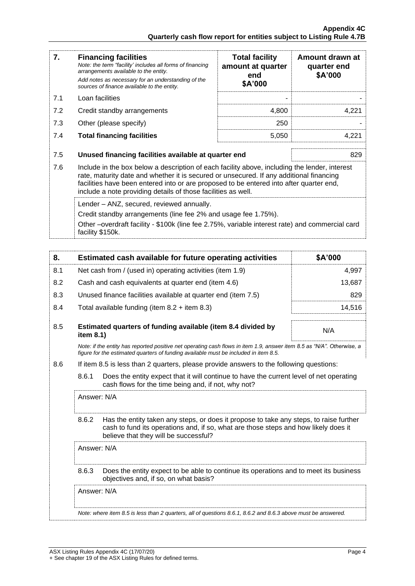| 7.  | <b>Financing facilities</b><br>Note: the term "facility' includes all forms of financing<br>arrangements available to the entity.<br>Add notes as necessary for an understanding of the<br>sources of finance available to the entity.                                                                                                               | <b>Total facility</b><br>amount at quarter<br>end<br>\$A'000 | Amount drawn at<br>quarter end<br>\$A'000 |
|-----|------------------------------------------------------------------------------------------------------------------------------------------------------------------------------------------------------------------------------------------------------------------------------------------------------------------------------------------------------|--------------------------------------------------------------|-------------------------------------------|
| 7.1 | Loan facilities                                                                                                                                                                                                                                                                                                                                      |                                                              |                                           |
| 7.2 | Credit standby arrangements                                                                                                                                                                                                                                                                                                                          | 4,800                                                        | 4,221                                     |
| 7.3 | Other (please specify)                                                                                                                                                                                                                                                                                                                               | 250                                                          |                                           |
| 7.4 | <b>Total financing facilities</b>                                                                                                                                                                                                                                                                                                                    | 5,050                                                        | 4,221                                     |
| 7.5 | Unused financing facilities available at quarter end                                                                                                                                                                                                                                                                                                 |                                                              | 829                                       |
| 7.6 | Include in the box below a description of each facility above, including the lender, interest<br>rate, maturity date and whether it is secured or unsecured. If any additional financing<br>facilities have been entered into or are proposed to be entered into after quarter end,<br>include a note providing details of those facilities as well. |                                                              |                                           |
|     | Lender - ANZ, secured, reviewed annually.<br>Credit standby arrangements (line fee 2% and usage fee 1.75%).<br>Other –overdraft facility - \$100k (line fee 2.75%, variable interest rate) and commercial card<br>facility \$150k.                                                                                                                   |                                                              |                                           |

| 8.  | Estimated cash available for future operating activities                                                                                                                                                       | \$A'000 |
|-----|----------------------------------------------------------------------------------------------------------------------------------------------------------------------------------------------------------------|---------|
| 8.1 | Net cash from / (used in) operating activities (item 1.9)                                                                                                                                                      | 4,997   |
| 8.2 | Cash and cash equivalents at quarter end (item 4.6)                                                                                                                                                            | 13,687  |
| 8.3 | Unused finance facilities available at quarter end (item 7.5)                                                                                                                                                  | 829     |
| 8.4 | Total available funding (item $8.2 +$ item $8.3$ )                                                                                                                                                             | 14.516  |
| 8.5 | Estimated quarters of funding available (item 8.4 divided by<br>item $8.1$ )                                                                                                                                   | N/A     |
|     | Note: if the entity has reported positive net operating cash flows in item 1.9, answer item 8.5 as "N/A". Otherwise, a<br>figure for the estimated guarters of funding available must be included in item 8.5. |         |

8.6 If item 8.5 is less than 2 quarters, please provide answers to the following questions:

8.6.1 Does the entity expect that it will continue to have the current level of net operating cash flows for the time being and, if not, why not?

Answer: N/A

8.6.2 Has the entity taken any steps, or does it propose to take any steps, to raise further cash to fund its operations and, if so, what are those steps and how likely does it believe that they will be successful?

Answer: N/A

8.6.3 Does the entity expect to be able to continue its operations and to meet its business objectives and, if so, on what basis?

Answer: N/A

*Note: where item 8.5 is less than 2 quarters, all of questions 8.6.1, 8.6.2 and 8.6.3 above must be answered.*